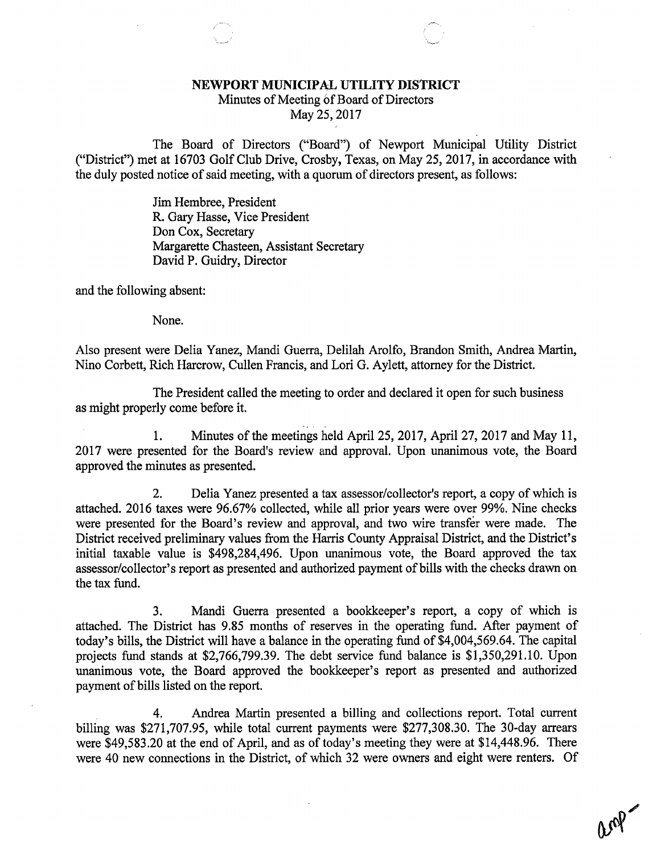## NEWPORT MUNICIPAL UTILITY DISTRICT

Minutes of Meeting of Board of Directors

May 25, 2017

The Board of Directors ("Board") of Newport Municipal Utility District ("District") met at 16703 Golf Club Drive, Crosby, Texas, on May 25, 2017, in accordance with the duly posted notice of said meeting, with a quorum of directors present, as follows:

> Jim Hembree, President R. Gary Hasse, Vice President Don Cox, Secretary Margarette Chasteen, Assistant Secretary David P. Guidry, Director

and the following absent:

None.

Also present were Delia Yanez, Mandi Guerra, Delilah Arolfo, Brandon Smith, Andrea Martin, Nino Corbett, Rich Harcrow, Cullen Francis, and Lori G. Aylett, attorney for the District.

The President called the meeting to order and declared it open for such business as might properly come before it.

1. Minutes of the meetings held April 25, 2017, April 27, 2017 and May 11, 2017 were presented for the Board's review and approval. Upon unanimous vote, the Board approved the minutes as presented.

2. Delia Yanez presented a tax assessor/collector's report, a copy of which is attached. 2016 taxes were 96.67% collected, while all prior years were over 99%. Nine checks were presented for the Board's review and approval, and two wire transfer were made. The District received preliminary values from the Harris County Appraisal District, and the District's initial taxable value is \$498,284,496. Upon unanimous vote, the Board approved the tax assessor/collector's report as presented and authorized payment of bills with the checks drawn on the tax fund.

3. Mandi Guerra presented a bookkeeper's report, a copy of which is attached. The District has 9.85 months of reserves in the operating fund. After payment of today's bills, the District will have a balance in the operating fund of \$4,004,569.64. The capital projects fund stands at \$2,766,799.39. The debt service fund balance is \$1,350,291.10. Upon unanimous vote, the Board approved the bookkeeper's report as presented and authorized payment of bills listed on the report.

4. Andrea Martin presented a billing and collections report. Total current billing was \$271,707.95, while total current payments were \$277,308.30. The 30-day arrears were \$49,583.20 at the end of April, and as of today's meeting they were at \$14,448.96. There were 40 new connections in the District, of which 32 were owners and eight were renters. Of

an<sup>0</sup>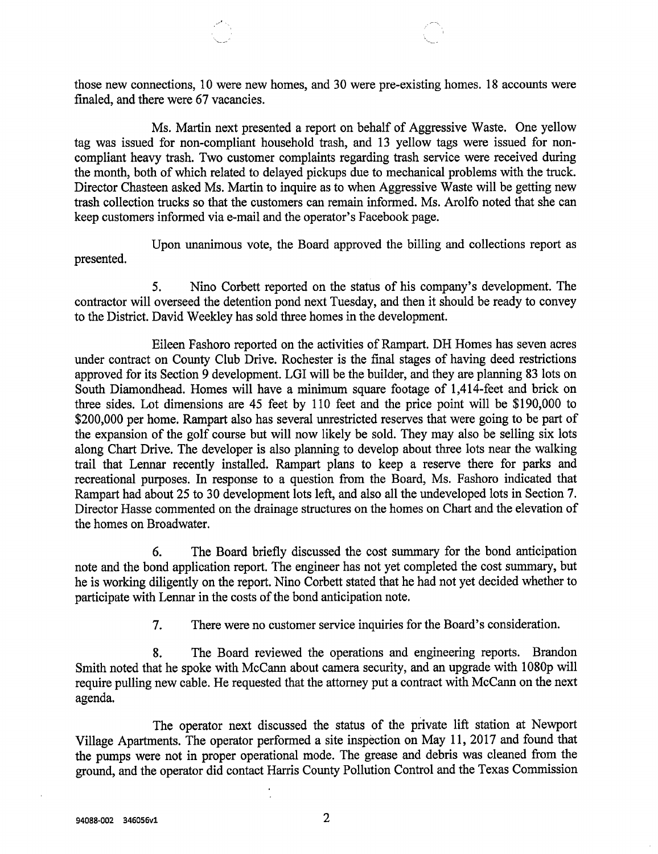those new connections, 10 were new homes, and 30 were pre-existing homes. 18 accounts were finaled, and there were 67 vacancies.

Ms. Martin next presented a report on behalf of Aggressive Waste. One yellow tag was issued for non-compliant household trash, and 13 yellow tags were issued for noncompliant heavy trash. Two customer complaints regarding trash service were received during the month, both of which related to delayed pickups due to mechanical problems with the truck. Director Chasteen asked Ms. Martin to inquire as to when Aggressive Waste will be getting new trash collection trucks so that the customers can remain informed. Ms. Arolfo noted that she can keep customers informed via e-mail and the operator's Facebook page.

Upon unanimous vote, the Board approved the billing and collections report as presented.

5. Nino Corbett reported on the status of his company's development. The contractor will overseed the detention pond next Tuesday, and then it should be ready to convey to the District. David Weekley has sold three homes in the development.

Eileen Fashoro reported on the activities of Rampart. DH Homes has seven acres under contract on County Club Drive. Rochester is the final stages of having deed restrictions approved for its Section 9 development. LGI will be the builder, and they are planning 83 lots on South Diamondhead. Homes will have a minimum square footage of 1,414-feet and brick on three sides. Lot dimensions are 45 feet by 110 feet and the price point will be \$190,000 to \$200,000 per home. Rampart also has several unrestricted reserves that were going to be part of the expansion of the golf course but will now likely be sold. They may also be selling six lots along Chart Drive. The developer is also planning to develop about three lots near the walking trail that Lennar recently installed. Rampart plans to keep a reserve there for parks and recreational purposes. In response to a question from the Board, Ms. Fashoro indicated that Rampart had about 25 to 30 development lots left, and also all the undeveloped lots in Section 7. Director Hasse commented on the drainage structures on the homes on Chart and the elevation of the homes on Broadwater.

6. The Board briefly discussed the cost summary for the bond anticipation note and the bond application report. The engineer has not yet completed the cost summary, but he is working diligently on the report. Nino Corbett stated that he had not yet decided whether to participate with Lennar in the costs of the bond anticipation note.

7. There were no customer service inquiries for the Board's consideration.

8. The Board reviewed the operations and engineering reports. Brandon Smith noted that he spoke with McCann about camera security, and an upgrade with 1080p will require pulling new cable. He requested that the attorney put a contract with McCann on the next agenda.

The operator next discussed the status of the private lift station at Newport Village Apartments. The operator performed a site inspection on May 11, 2017 and found that the pumps were not in proper operational mode. The grease and debris was cleaned from the ground, and the operator did contact Harris County Pollution Control and the Texas Commission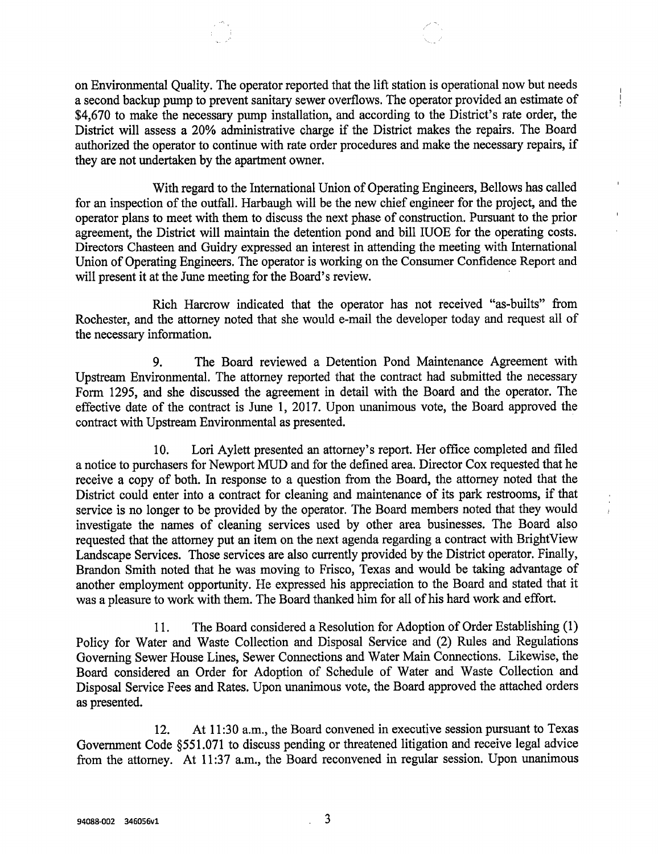on Environmental Quality. The operator reported that the lift station is operational now but needs a second backup pump to prevent sanitary sewer overflows. The operator provided an estimate of \$4,670 to make the necessary pump installation, and according to the District's rate order, the District will assess a 20% administrative charge if the District makes the repairs. The Board authorized the operator to continue with rate order procedures and make the necessary repairs, if they are not undertaken by the apartment owner.

With regard to the International Union of Operating Engineers, Bellows has called for an inspection of the outfall. Harbaugh will be the new chief engineer for the project, and the operator plans to meet with them to discuss the next phase of construction. Pursuant to the prior agreement, the District will maintain the detention pond and bill IUOE for the operating costs. Directors Chasteen and Guidry expressed an interest in attending the meeting with International Union of Operating Engineers. The operator is working on the Consumer Confidence Report and will present it at the June meeting for the Board's review.

 $\mathbf{r}$ 

Rich Harcrow indicated that the operator has not received "as-builts" from Rochester, and the attorney noted that she would e-mail the developer today and request all of the necessary information.

9. The Board reviewed a Detention Pond Maintenance Agreement with Upstream Environmental. The attorney reported that the contract had submitted the necessary Form 1295, and she discussed the agreement in detail with the Board and the operator. The effective date of the contract is June 1, 2017. Upon unanimous vote, the Board approved the contract with Upstream Environmental as presented.

10. Lori Aylett presented an attorney's report. Her office completed and filed <sup>a</sup> notice to purchasers for Newport MUD and for the defined area. Director Cox requested that he receive a copy of both. In response to a question from the Board, the attorney noted that the District could enter into a contract for cleaning and maintenance of its park restrooms, if that service is no longer to be provided by the operator. The Board members noted that they would investigate the names of cleaning services used by other area businesses. The Board also requested that the attorney put an item on the next agenda regarding a contract with BrightView Landscape Services. Those services are also currently provided by the District operator. Finally, Brandon Smith noted that he was moving to Frisco, Texas and would be taking advantage of another employment opportunity. He expressed his appreciation to the Board and stated that it was a pleasure to work with them. The Board thanked him for all of his hard work and effort.

11. The Board considered a Resolution for Adoption of Order Establishing (1) Policy for Water and Waste Collection and Disposal Service and (2) Rules and Regulations Governing Sewer House Lines, Sewer Connections and Water Main Connections. Likewise, the Board considered an Order for Adoption of Schedule of Water and Waste Collection and Disposal Service Fees and Rates. Upon unanimous vote, the Board approved the attached orders as presented.

12. At 11:30 a.m., the Board convened in executive session pursuant to Texas Government Code §551.071 to discuss pending or threatened litigation and receive legal advice from the attorney. At 11:37 a.m., the Board reconvened in regular session. Upon unanimous